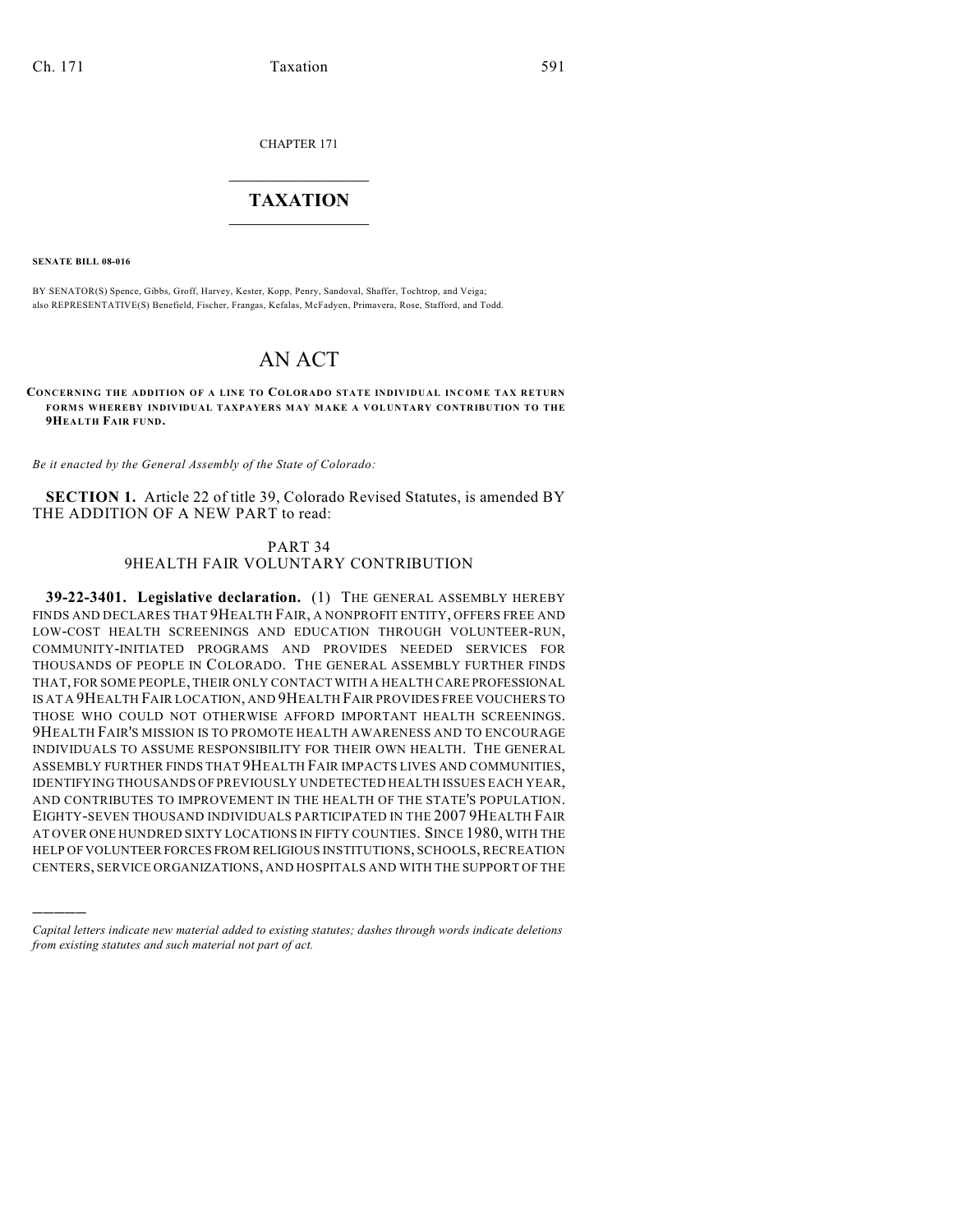CHAPTER 171

## $\overline{\phantom{a}}$  . The set of the set of the set of the set of the set of the set of the set of the set of the set of the set of the set of the set of the set of the set of the set of the set of the set of the set of the set o **TAXATION**  $\_$

**SENATE BILL 08-016**

)))))

BY SENATOR(S) Spence, Gibbs, Groff, Harvey, Kester, Kopp, Penry, Sandoval, Shaffer, Tochtrop, and Veiga; also REPRESENTATIVE(S) Benefield, Fischer, Frangas, Kefalas, McFadyen, Primavera, Rose, Stafford, and Todd.

## AN ACT

**CONCERNING THE ADDITION OF A LINE TO COLORADO STATE INDIVIDUAL INCOME TAX RETURN FORMS WHEREBY INDIVIDUAL TAXPAYERS MAY MAKE A VOLUNTARY CONTRIBUTION TO THE 9HEALTH FAIR FUND.**

*Be it enacted by the General Assembly of the State of Colorado:*

**SECTION 1.** Article 22 of title 39, Colorado Revised Statutes, is amended BY THE ADDITION OF A NEW PART to read:

## PART 34 9HEALTH FAIR VOLUNTARY CONTRIBUTION

**39-22-3401. Legislative declaration.** (1) THE GENERAL ASSEMBLY HEREBY FINDS AND DECLARES THAT 9HEALTH FAIR, A NONPROFIT ENTITY, OFFERS FREE AND LOW-COST HEALTH SCREENINGS AND EDUCATION THROUGH VOLUNTEER-RUN, COMMUNITY-INITIATED PROGRAMS AND PROVIDES NEEDED SERVICES FOR THOUSANDS OF PEOPLE IN COLORADO. THE GENERAL ASSEMBLY FURTHER FINDS THAT, FOR SOME PEOPLE, THEIR ONLY CONTACT WITH A HEALTH CARE PROFESSIONAL IS AT A 9HEALTH FAIR LOCATION, AND 9HEALTH FAIR PROVIDES FREE VOUCHERS TO THOSE WHO COULD NOT OTHERWISE AFFORD IMPORTANT HEALTH SCREENINGS. 9HEALTH FAIR'S MISSION IS TO PROMOTE HEALTH AWARENESS AND TO ENCOURAGE INDIVIDUALS TO ASSUME RESPONSIBILITY FOR THEIR OWN HEALTH. THE GENERAL ASSEMBLY FURTHER FINDS THAT 9HEALTH FAIR IMPACTS LIVES AND COMMUNITIES, IDENTIFYING THOUSANDS OF PREVIOUSLY UNDETECTED HEALTH ISSUES EACH YEAR, AND CONTRIBUTES TO IMPROVEMENT IN THE HEALTH OF THE STATE'S POPULATION. EIGHTY-SEVEN THOUSAND INDIVIDUALS PARTICIPATED IN THE 2007 9HEALTH FAIR AT OVER ONE HUNDRED SIXTY LOCATIONS IN FIFTY COUNTIES. SINCE 1980, WITH THE HELP OF VOLUNTEER FORCES FROM RELIGIOUS INSTITUTIONS, SCHOOLS, RECREATION CENTERS, SERVICE ORGANIZATIONS, AND HOSPITALS AND WITH THE SUPPORT OF THE

*Capital letters indicate new material added to existing statutes; dashes through words indicate deletions from existing statutes and such material not part of act.*